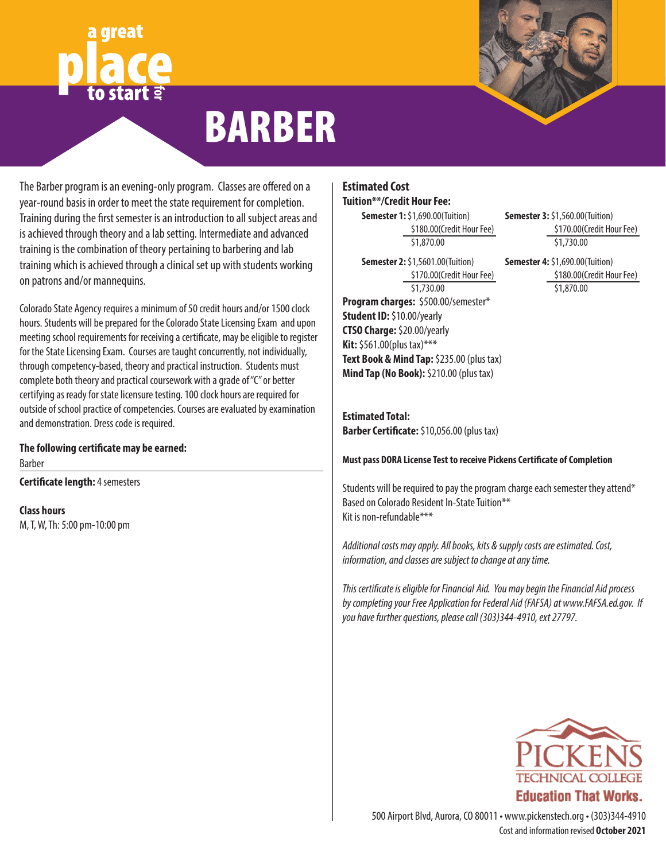# **for**



# BARBER

The Barber program is an evening-only program. Classes are offered on a year-round basis in order to meet the state requirement for completion. Training during the first semester is an introduction to all subject areas and is achieved through theory and a lab setting. Intermediate and advanced training is the combination of theory pertaining to barbering and lab training which is achieved through a clinical set up with students working on patrons and/or mannequins.

Colorado State Agency requires a minimum of 50 credit hours and/or 1500 clock hours. Students will be prepared for the Colorado State Licensing Exam and upon meeting school requirements for receiving a certificate, may be eligible to register for the State Licensing Exam. Courses are taught concurrently, not individually, through competency-based, theory and practical instruction. Students must complete both theory and practical coursework with a grade of "C" or better certifying as ready for state licensure testing. 100 clock hours are required for outside of school practice of competencies. Courses are evaluated by examination and demonstration. Dress code is required.

**The following certificate may be earned:** Barber

**Certificate length:** 4 semesters

**Class hours**

M, T, W, Th: 5:00 pm-10:00 pm

### **Estimated Cost Tuition\*\*/Credit Hour Fee:**

**Semester 1:** \$1,690.00(Tuition) \$180.00(Credit Hour Fee) \$1,870.00

**Program charges:** \$500.00/semester\* **Student ID:** \$10.00/yearly **CTSO Charge:** \$20.00/yearly **Kit:** \$561.00(plus tax)\*\*\* **Semester 2:** \$1,5601.00(Tuition) \$170.00(Credit Hour Fee) \$1,730.00

**Text Book & Mind Tap:** \$235.00 (plus tax) **Mind Tap (No Book):** \$210.00 (plus tax)

**Estimated Total: Barber Certificate:** \$10,056.00 (plus tax)

**Must pass DORA License Test to receive Pickens Certificate of Completion**

Students will be required to pay the program charge each semester they attend\* Based on Colorado Resident In-State Tuition\*\* Kit is non-refundable\*\*\*

*Additional costs may apply. All books, kits & supply costs are estimated. Cost, information, and classes are subject to change at any time.*

*This certificate is eligible for Financial Aid. You may begin the Financial Aid process by completing your Free Application for Federal Aid (FAFSA) at www.FAFSA.ed.gov. If you have further questions, please call (303)344-4910, ext 27797.*



Cost and information revised **October 2021** 500 Airport Blvd, Aurora, CO 80011 • www.pickenstech.org • (303)344-4910

**Semester 3:** \$1,560.00(Tuition) \$170.00(Credit Hour Fee) \$1,730.00

**Semester 4:** \$1,690.00(Tuition) \$180.00(Credit Hour Fee) \$1,870.00